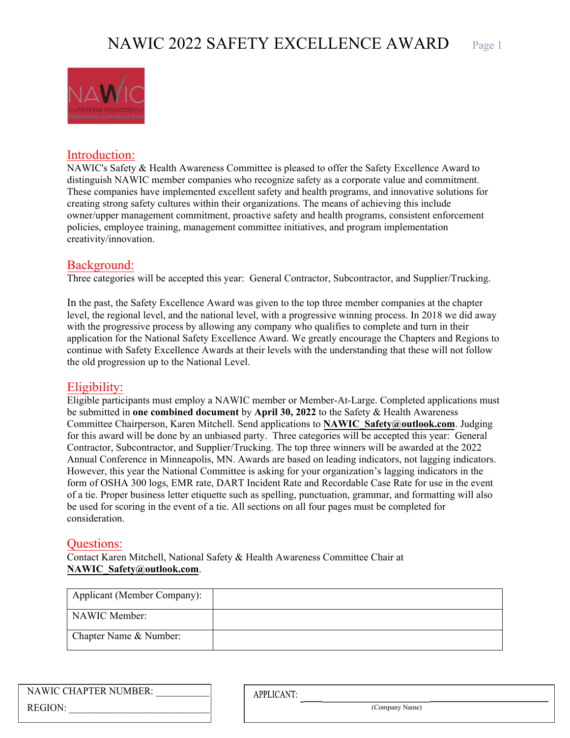

#### Introduction:

NAWIC's Safety & Health Awareness Committee is pleased to offer the Safety Excellence Award to distinguish NAWIC member companies who recognize safety as a corporate value and commitment. These companies have implemented excellent safety and health programs, and innovative solutions for creating strong safety cultures within their organizations. The means of achieving this include owner/upper management commitment, proactive safety and health programs, consistent enforcement policies, employee training, management committee initiatives, and program implementation creativity/innovation.

### Background:

Three categories will be accepted this year: General Contractor, Subcontractor, and Supplier/Trucking.

In the past, the Safety Excellence Award was given to the top three member companies at the chapter level, the regional level, and the national level, with a progressive winning process. In 2018 we did away with the progressive process by allowing any company who qualifies to complete and turn in their application for the National Safety Excellence Award. We greatly encourage the Chapters and Regions to continue with Safety Excellence Awards at their levels with the understanding that these will not follow the old progression up to the National Level.

### Eligibility:

Eligible participants must employ a NAWIC member or Member-At-Large. Completed applications must be submitted in **one combined document** by **April 30, 2022** to the Safety & Health Awareness Committee Chairperson, Karen Mitchell. Send applications to **NAWIC\_Safety@outlook.com**. Judging for this award will be done by an unbiased party. Three categories will be accepted this year: General Contractor, Subcontractor, and Supplier/Trucking. The top three winners will be awarded at the 2022 Annual Conference in Minneapolis, MN. Awards are based on leading indicators, not lagging indicators. However, this year the National Committee is asking for your organization's lagging indicators in the form of OSHA 300 logs, EMR rate, DART Incident Rate and Recordable Case Rate for use in the event of a tie. Proper business letter etiquette such as spelling, punctuation, grammar, and formatting will also be used for scoring in the event of a tie. All sections on all four pages must be completed for consideration.

#### Questions:

Contact Karen Mitchell, National Safety & Health Awareness Committee Chair at **NAWIC\_Safety@outlook.com**.

| Applicant (Member Company): |  |
|-----------------------------|--|
| NAWIC Member:               |  |
| Chapter Name & Number:      |  |

| NAWIC CHAPTER NUMBER: |  |
|-----------------------|--|
| REGION:               |  |

**APPLICANT:**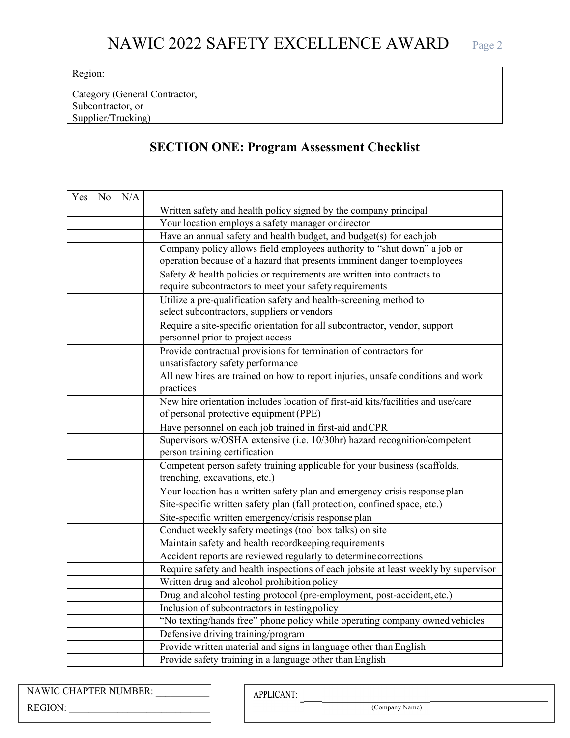| Region:                                                                  |  |
|--------------------------------------------------------------------------|--|
| Category (General Contractor,<br>Subcontractor, or<br>Supplier/Trucking) |  |

## **SECTION ONE: Program Assessment Checklist**

| Yes | No | N/A |                                                                                                           |
|-----|----|-----|-----------------------------------------------------------------------------------------------------------|
|     |    |     | Written safety and health policy signed by the company principal                                          |
|     |    |     | Your location employs a safety manager or director                                                        |
|     |    |     | Have an annual safety and health budget, and budget(s) for eachjob                                        |
|     |    |     | Company policy allows field employees authority to "shut down" a job or                                   |
|     |    |     | operation because of a hazard that presents imminent danger toemployees                                   |
|     |    |     | Safety & health policies or requirements are written into contracts to                                    |
|     |    |     | require subcontractors to meet your safety requirements                                                   |
|     |    |     | Utilize a pre-qualification safety and health-screening method to                                         |
|     |    |     | select subcontractors, suppliers or vendors                                                               |
|     |    |     | Require a site-specific orientation for all subcontractor, vendor, support                                |
|     |    |     | personnel prior to project access                                                                         |
|     |    |     | Provide contractual provisions for termination of contractors for                                         |
|     |    |     | unsatisfactory safety performance                                                                         |
|     |    |     | All new hires are trained on how to report injuries, unsafe conditions and work                           |
|     |    |     | practices                                                                                                 |
|     |    |     | New hire orientation includes location of first-aid kits/facilities and use/care                          |
|     |    |     | of personal protective equipment (PPE)                                                                    |
|     |    |     | Have personnel on each job trained in first-aid and CPR                                                   |
|     |    |     | Supervisors w/OSHA extensive (i.e. 10/30hr) hazard recognition/competent<br>person training certification |
|     |    |     | Competent person safety training applicable for your business (scaffolds,                                 |
|     |    |     | trenching, excavations, etc.)                                                                             |
|     |    |     | Your location has a written safety plan and emergency crisis response plan                                |
|     |    |     | Site-specific written safety plan (fall protection, confined space, etc.)                                 |
|     |    |     | Site-specific written emergency/crisis response plan                                                      |
|     |    |     | Conduct weekly safety meetings (tool box talks) on site                                                   |
|     |    |     | Maintain safety and health recordkeeping requirements                                                     |
|     |    |     | Accident reports are reviewed regularly to determine corrections                                          |
|     |    |     | Require safety and health inspections of each jobsite at least weekly by supervisor                       |
|     |    |     | Written drug and alcohol prohibition policy                                                               |
|     |    |     | Drug and alcohol testing protocol (pre-employment, post-accident, etc.)                                   |
|     |    |     | Inclusion of subcontractors in testing policy                                                             |
|     |    |     | "No texting/hands free" phone policy while operating company owned vehicles                               |
|     |    |     | Defensive driving training/program                                                                        |
|     |    |     | Provide written material and signs in language other than English                                         |
|     |    |     | Provide safety training in a language other than English                                                  |

| NAWIC CHAPTER NUMBER: |  |
|-----------------------|--|
| <b>REGION:</b>        |  |

APPLICANT: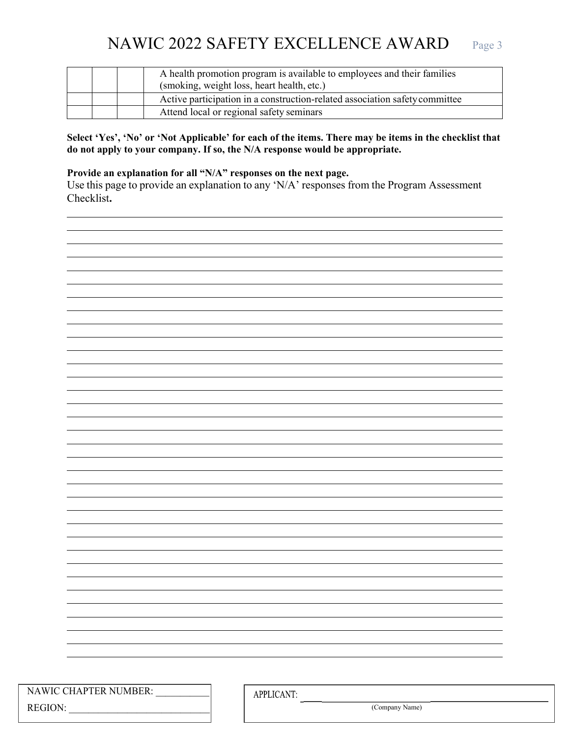# NAWIC 2022 SAFETY EXCELLENCE AWARD Page 3

|  | A health promotion program is available to employees and their families<br>(smoking, weight loss, heart health, etc.) |
|--|-----------------------------------------------------------------------------------------------------------------------|
|  | Active participation in a construction-related association safety committee                                           |
|  | Attend local or regional safety seminars                                                                              |

#### **Select 'Yes', 'No' or 'Not Applicable' for each of the items. There may be items in the checklist that do not apply to your company. If so, the N/A response would be appropriate.**

#### **Provide an explanation for all "N/A" responses on the next page.**

Use this page to provide an explanation to any 'N/A' responses from the Program Assessment Checklist**.**

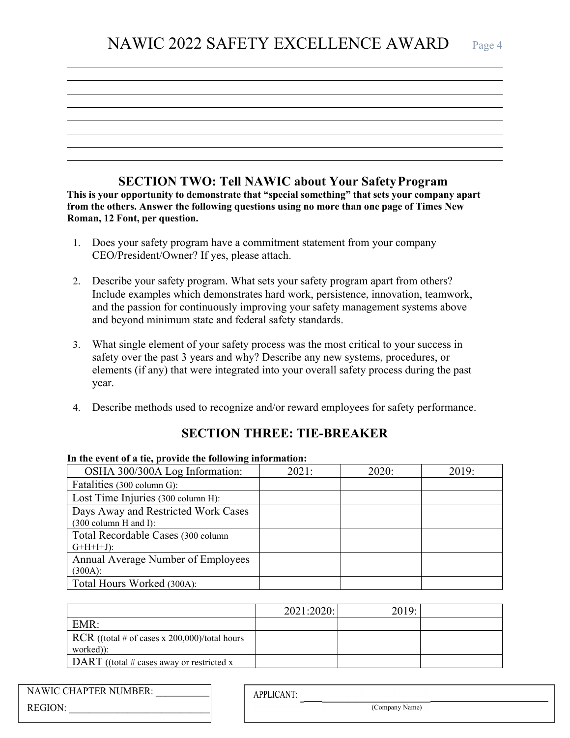## **SECTION TWO: Tell NAWIC about Your Safety Program**

**This is your opportunity to demonstrate that "special something" that sets your company apart from the others. Answer the following questions using no more than one page of Times New Roman, 12 Font, per question.** 

- 1. Does your safety program have a commitment statement from your company CEO/President/Owner? If yes, please attach.
- 2. Describe your safety program. What sets your safety program apart from others? Include examples which demonstrates hard work, persistence, innovation, teamwork, and the passion for continuously improving your safety management systems above and beyond minimum state and federal safety standards.
- 3. What single element of your safety process was the most critical to your success in safety over the past 3 years and why? Describe any new systems, procedures, or elements (if any) that were integrated into your overall safety process during the past year.
- 4. Describe methods used to recognize and/or reward employees for safety performance.

## **SECTION THREE: TIE-BREAKER**

#### **In the event of a tie, provide the following information:**

| OSHA 300/300A Log Information:      | 2021: | 2020: | 2019: |
|-------------------------------------|-------|-------|-------|
| Fatalities (300 column G):          |       |       |       |
| Lost Time Injuries (300 column H):  |       |       |       |
| Days Away and Restricted Work Cases |       |       |       |
| $(300 \text{ column H and I}):$     |       |       |       |
| Total Recordable Cases (300 column  |       |       |       |
| $G+H+I+J$ :                         |       |       |       |
| Annual Average Number of Employees  |       |       |       |
| $(300A)$ :                          |       |       |       |
| Total Hours Worked (300A):          |       |       |       |

|                                                                    | 2021:2020: | 2019: |  |
|--------------------------------------------------------------------|------------|-------|--|
| EMR:                                                               |            |       |  |
| $\vert$ RCR ((total # of cases x 200,000)/total hours<br>worked)): |            |       |  |
| $\vert$ DART ((total # cases away or restricted x                  |            |       |  |

|         | NAWIC CHAPTER NUMBER: |  |
|---------|-----------------------|--|
| REGION: |                       |  |

**APPLICANT:**